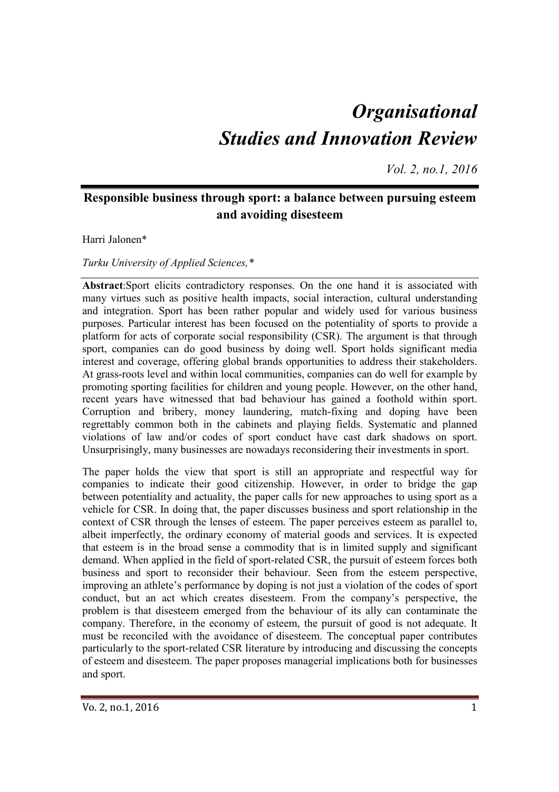# *Organisational Studies and Innovation Review*

*Vol. 2, no.1, 2016*

## **Responsible business through sport: a balance between pursuing esteem and avoiding disesteem**

Harri Jalonen\*

*Turku University of Applied Sciences,\** 

**Abstract**:Sport elicits contradictory responses. On the one hand it is associated with many virtues such as positive health impacts, social interaction, cultural understanding and integration. Sport has been rather popular and widely used for various business purposes. Particular interest has been focused on the potentiality of sports to provide a platform for acts of corporate social responsibility (CSR). The argument is that through sport, companies can do good business by doing well. Sport holds significant media interest and coverage, offering global brands opportunities to address their stakeholders. At grass-roots level and within local communities, companies can do well for example by promoting sporting facilities for children and young people. However, on the other hand, recent years have witnessed that bad behaviour has gained a foothold within sport. Corruption and bribery, money laundering, match-fixing and doping have been regrettably common both in the cabinets and playing fields. Systematic and planned violations of law and/or codes of sport conduct have cast dark shadows on sport. Unsurprisingly, many businesses are nowadays reconsidering their investments in sport.

The paper holds the view that sport is still an appropriate and respectful way for companies to indicate their good citizenship. However, in order to bridge the gap between potentiality and actuality, the paper calls for new approaches to using sport as a vehicle for CSR. In doing that, the paper discusses business and sport relationship in the context of CSR through the lenses of esteem. The paper perceives esteem as parallel to, albeit imperfectly, the ordinary economy of material goods and services. It is expected that esteem is in the broad sense a commodity that is in limited supply and significant demand. When applied in the field of sport-related CSR, the pursuit of esteem forces both business and sport to reconsider their behaviour. Seen from the esteem perspective, improving an athlete's performance by doping is not just a violation of the codes of sport conduct, but an act which creates disesteem. From the company's perspective, the problem is that disesteem emerged from the behaviour of its ally can contaminate the company. Therefore, in the economy of esteem, the pursuit of good is not adequate. It must be reconciled with the avoidance of disesteem. The conceptual paper contributes particularly to the sport-related CSR literature by introducing and discussing the concepts of esteem and disesteem. The paper proposes managerial implications both for businesses and sport.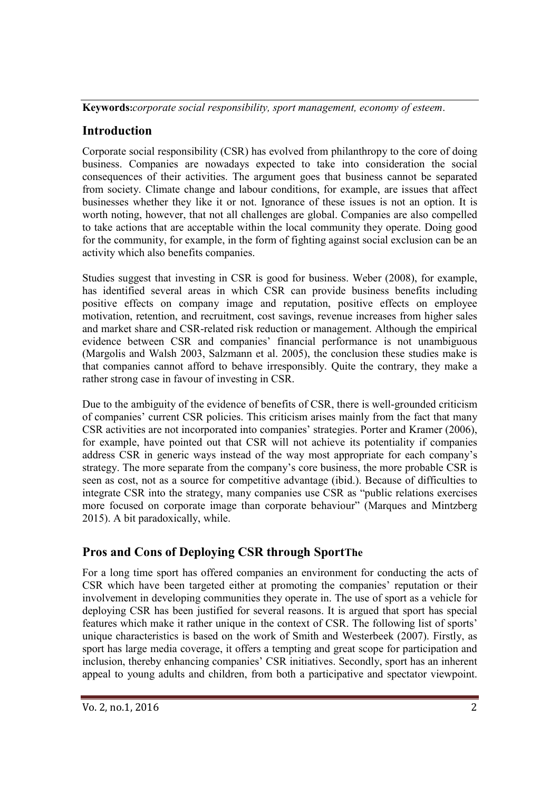**Keywords:***corporate social responsibility, sport management, economy of esteem*.

## **Introduction**

Corporate social responsibility (CSR) has evolved from philanthropy to the core of doing business. Companies are nowadays expected to take into consideration the social consequences of their activities. The argument goes that business cannot be separated from society. Climate change and labour conditions, for example, are issues that affect businesses whether they like it or not. Ignorance of these issues is not an option. It is worth noting, however, that not all challenges are global. Companies are also compelled to take actions that are acceptable within the local community they operate. Doing good for the community, for example, in the form of fighting against social exclusion can be an activity which also benefits companies.

Studies suggest that investing in CSR is good for business. Weber (2008), for example, has identified several areas in which CSR can provide business benefits including positive effects on company image and reputation, positive effects on employee motivation, retention, and recruitment, cost savings, revenue increases from higher sales and market share and CSR-related risk reduction or management. Although the empirical evidence between CSR and companies' financial performance is not unambiguous (Margolis and Walsh 2003, Salzmann et al. 2005), the conclusion these studies make is that companies cannot afford to behave irresponsibly. Quite the contrary, they make a rather strong case in favour of investing in CSR.

Due to the ambiguity of the evidence of benefits of CSR, there is well-grounded criticism of companies' current CSR policies. This criticism arises mainly from the fact that many CSR activities are not incorporated into companies' strategies. Porter and Kramer (2006), for example, have pointed out that CSR will not achieve its potentiality if companies address CSR in generic ways instead of the way most appropriate for each company's strategy. The more separate from the company's core business, the more probable CSR is seen as cost, not as a source for competitive advantage (ibid.). Because of difficulties to integrate CSR into the strategy, many companies use CSR as "public relations exercises more focused on corporate image than corporate behaviour" (Marques and Mintzberg 2015). A bit paradoxically, while.

# **Pros and Cons of Deploying CSR through SportThe**

For a long time sport has offered companies an environment for conducting the acts of CSR which have been targeted either at promoting the companies' reputation or their involvement in developing communities they operate in. The use of sport as a vehicle for deploying CSR has been justified for several reasons. It is argued that sport has special features which make it rather unique in the context of CSR. The following list of sports' unique characteristics is based on the work of Smith and Westerbeek (2007). Firstly, as sport has large media coverage, it offers a tempting and great scope for participation and inclusion, thereby enhancing companies' CSR initiatives. Secondly, sport has an inherent appeal to young adults and children, from both a participative and spectator viewpoint.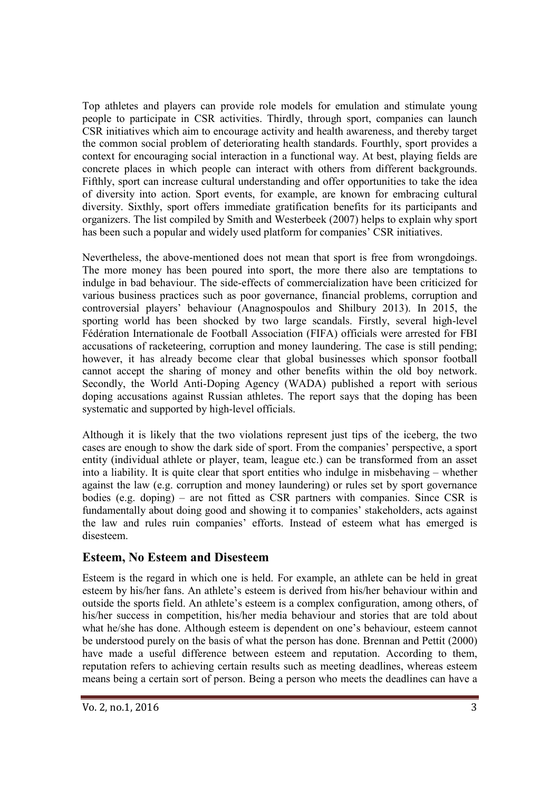Top athletes and players can provide role models for emulation and stimulate young people to participate in CSR activities. Thirdly, through sport, companies can launch CSR initiatives which aim to encourage activity and health awareness, and thereby target the common social problem of deteriorating health standards. Fourthly, sport provides a context for encouraging social interaction in a functional way. At best, playing fields are concrete places in which people can interact with others from different backgrounds. Fifthly, sport can increase cultural understanding and offer opportunities to take the idea of diversity into action. Sport events, for example, are known for embracing cultural diversity. Sixthly, sport offers immediate gratification benefits for its participants and organizers. The list compiled by Smith and Westerbeek (2007) helps to explain why sport has been such a popular and widely used platform for companies' CSR initiatives.

Nevertheless, the above-mentioned does not mean that sport is free from wrongdoings. The more money has been poured into sport, the more there also are temptations to indulge in bad behaviour. The side-effects of commercialization have been criticized for various business practices such as poor governance, financial problems, corruption and controversial players' behaviour (Anagnospoulos and Shilbury 2013). In 2015, the sporting world has been shocked by two large scandals. Firstly, several high-level Fédération Internationale de Football Association (FIFA) officials were arrested for FBI accusations of racketeering, corruption and money laundering. The case is still pending; however, it has already become clear that global businesses which sponsor football cannot accept the sharing of money and other benefits within the old boy network. Secondly, the World Anti-Doping Agency (WADA) published a report with serious doping accusations against Russian athletes. The report says that the doping has been systematic and supported by high-level officials.

Although it is likely that the two violations represent just tips of the iceberg, the two cases are enough to show the dark side of sport. From the companies' perspective, a sport entity (individual athlete or player, team, league etc.) can be transformed from an asset into a liability. It is quite clear that sport entities who indulge in misbehaving – whether against the law (e.g. corruption and money laundering) or rules set by sport governance bodies (e.g. doping) – are not fitted as CSR partners with companies. Since CSR is fundamentally about doing good and showing it to companies' stakeholders, acts against the law and rules ruin companies' efforts. Instead of esteem what has emerged is disesteem.

#### **Esteem, No Esteem and Disesteem**

Esteem is the regard in which one is held. For example, an athlete can be held in great esteem by his/her fans. An athlete's esteem is derived from his/her behaviour within and outside the sports field. An athlete's esteem is a complex configuration, among others, of his/her success in competition, his/her media behaviour and stories that are told about what he/she has done. Although esteem is dependent on one's behaviour, esteem cannot be understood purely on the basis of what the person has done. Brennan and Pettit (2000) have made a useful difference between esteem and reputation. According to them, reputation refers to achieving certain results such as meeting deadlines, whereas esteem means being a certain sort of person. Being a person who meets the deadlines can have a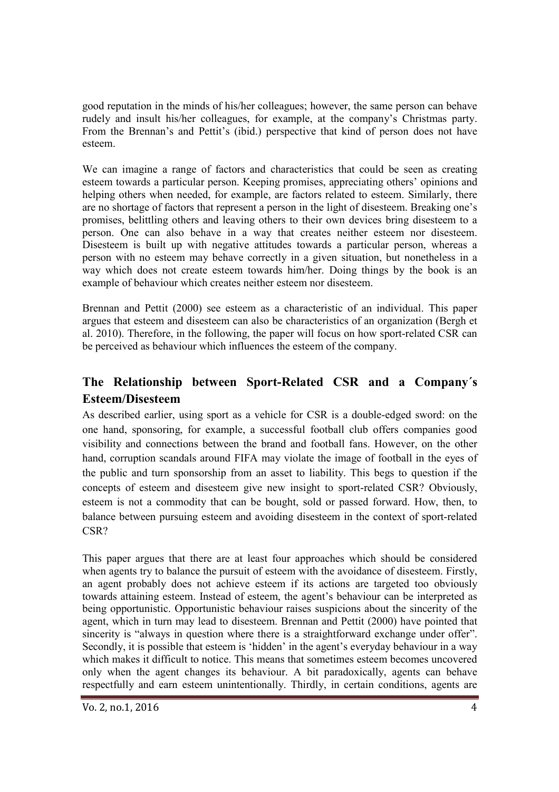good reputation in the minds of his/her colleagues; however, the same person can behave rudely and insult his/her colleagues, for example, at the company's Christmas party. From the Brennan's and Pettit's (ibid.) perspective that kind of person does not have esteem.

We can imagine a range of factors and characteristics that could be seen as creating esteem towards a particular person. Keeping promises, appreciating others' opinions and helping others when needed, for example, are factors related to esteem. Similarly, there are no shortage of factors that represent a person in the light of disesteem. Breaking one's promises, belittling others and leaving others to their own devices bring disesteem to a person. One can also behave in a way that creates neither esteem nor disesteem. Disesteem is built up with negative attitudes towards a particular person, whereas a person with no esteem may behave correctly in a given situation, but nonetheless in a way which does not create esteem towards him/her. Doing things by the book is an example of behaviour which creates neither esteem nor disesteem.

Brennan and Pettit (2000) see esteem as a characteristic of an individual. This paper argues that esteem and disesteem can also be characteristics of an organization (Bergh et al. 2010). Therefore, in the following, the paper will focus on how sport-related CSR can be perceived as behaviour which influences the esteem of the company.

## **The Relationship between Sport-Related CSR and a Company´s Esteem/Disesteem**

As described earlier, using sport as a vehicle for CSR is a double-edged sword: on the one hand, sponsoring, for example, a successful football club offers companies good visibility and connections between the brand and football fans. However, on the other hand, corruption scandals around FIFA may violate the image of football in the eyes of the public and turn sponsorship from an asset to liability. This begs to question if the concepts of esteem and disesteem give new insight to sport-related CSR? Obviously, esteem is not a commodity that can be bought, sold or passed forward. How, then, to balance between pursuing esteem and avoiding disesteem in the context of sport-related CSR?

This paper argues that there are at least four approaches which should be considered when agents try to balance the pursuit of esteem with the avoidance of disesteem. Firstly, an agent probably does not achieve esteem if its actions are targeted too obviously towards attaining esteem. Instead of esteem, the agent's behaviour can be interpreted as being opportunistic. Opportunistic behaviour raises suspicions about the sincerity of the agent, which in turn may lead to disesteem. Brennan and Pettit (2000) have pointed that sincerity is "always in question where there is a straightforward exchange under offer". Secondly, it is possible that esteem is 'hidden' in the agent's everyday behaviour in a way which makes it difficult to notice. This means that sometimes esteem becomes uncovered only when the agent changes its behaviour. A bit paradoxically, agents can behave respectfully and earn esteem unintentionally. Thirdly, in certain conditions, agents are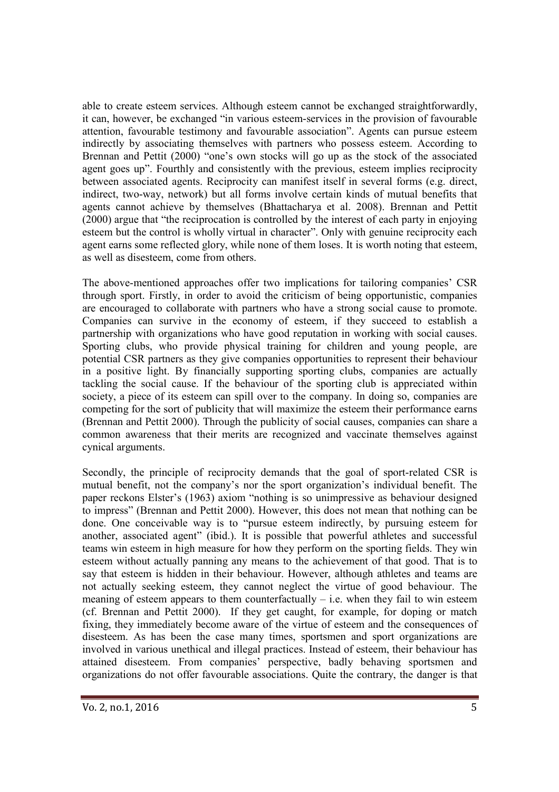able to create esteem services. Although esteem cannot be exchanged straightforwardly, it can, however, be exchanged "in various esteem-services in the provision of favourable attention, favourable testimony and favourable association". Agents can pursue esteem indirectly by associating themselves with partners who possess esteem. According to Brennan and Pettit (2000) "one's own stocks will go up as the stock of the associated agent goes up". Fourthly and consistently with the previous, esteem implies reciprocity between associated agents. Reciprocity can manifest itself in several forms (e.g. direct, indirect, two-way, network) but all forms involve certain kinds of mutual benefits that agents cannot achieve by themselves (Bhattacharya et al. 2008). Brennan and Pettit (2000) argue that "the reciprocation is controlled by the interest of each party in enjoying esteem but the control is wholly virtual in character". Only with genuine reciprocity each agent earns some reflected glory, while none of them loses. It is worth noting that esteem, as well as disesteem, come from others.

The above-mentioned approaches offer two implications for tailoring companies' CSR through sport. Firstly, in order to avoid the criticism of being opportunistic, companies are encouraged to collaborate with partners who have a strong social cause to promote. Companies can survive in the economy of esteem, if they succeed to establish a partnership with organizations who have good reputation in working with social causes. Sporting clubs, who provide physical training for children and young people, are potential CSR partners as they give companies opportunities to represent their behaviour in a positive light. By financially supporting sporting clubs, companies are actually tackling the social cause. If the behaviour of the sporting club is appreciated within society, a piece of its esteem can spill over to the company. In doing so, companies are competing for the sort of publicity that will maximize the esteem their performance earns (Brennan and Pettit 2000). Through the publicity of social causes, companies can share a common awareness that their merits are recognized and vaccinate themselves against cynical arguments.

Secondly, the principle of reciprocity demands that the goal of sport-related CSR is mutual benefit, not the company's nor the sport organization's individual benefit. The paper reckons Elster's (1963) axiom "nothing is so unimpressive as behaviour designed to impress" (Brennan and Pettit 2000). However, this does not mean that nothing can be done. One conceivable way is to "pursue esteem indirectly, by pursuing esteem for another, associated agent" (ibid.). It is possible that powerful athletes and successful teams win esteem in high measure for how they perform on the sporting fields. They win esteem without actually panning any means to the achievement of that good. That is to say that esteem is hidden in their behaviour. However, although athletes and teams are not actually seeking esteem, they cannot neglect the virtue of good behaviour. The meaning of esteem appears to them counterfactually  $-$  i.e. when they fail to win esteem (cf. Brennan and Pettit 2000). If they get caught, for example, for doping or match fixing, they immediately become aware of the virtue of esteem and the consequences of disesteem. As has been the case many times, sportsmen and sport organizations are involved in various unethical and illegal practices. Instead of esteem, their behaviour has attained disesteem. From companies' perspective, badly behaving sportsmen and organizations do not offer favourable associations. Quite the contrary, the danger is that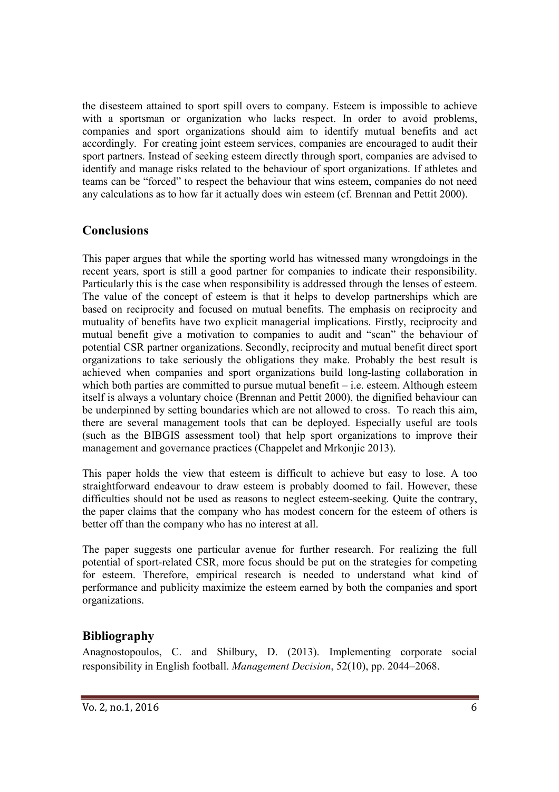the disesteem attained to sport spill overs to company. Esteem is impossible to achieve with a sportsman or organization who lacks respect. In order to avoid problems, companies and sport organizations should aim to identify mutual benefits and act accordingly. For creating joint esteem services, companies are encouraged to audit their sport partners. Instead of seeking esteem directly through sport, companies are advised to identify and manage risks related to the behaviour of sport organizations. If athletes and teams can be "forced" to respect the behaviour that wins esteem, companies do not need any calculations as to how far it actually does win esteem (cf. Brennan and Pettit 2000).

#### **Conclusions**

This paper argues that while the sporting world has witnessed many wrongdoings in the recent years, sport is still a good partner for companies to indicate their responsibility. Particularly this is the case when responsibility is addressed through the lenses of esteem. The value of the concept of esteem is that it helps to develop partnerships which are based on reciprocity and focused on mutual benefits. The emphasis on reciprocity and mutuality of benefits have two explicit managerial implications. Firstly, reciprocity and mutual benefit give a motivation to companies to audit and "scan" the behaviour of potential CSR partner organizations. Secondly, reciprocity and mutual benefit direct sport organizations to take seriously the obligations they make. Probably the best result is achieved when companies and sport organizations build long-lasting collaboration in which both parties are committed to pursue mutual benefit  $-$  i.e. esteem. Although esteem itself is always a voluntary choice (Brennan and Pettit 2000), the dignified behaviour can be underpinned by setting boundaries which are not allowed to cross. To reach this aim, there are several management tools that can be deployed. Especially useful are tools (such as the BIBGIS assessment tool) that help sport organizations to improve their management and governance practices (Chappelet and Mrkonjic 2013).

This paper holds the view that esteem is difficult to achieve but easy to lose. A too straightforward endeavour to draw esteem is probably doomed to fail. However, these difficulties should not be used as reasons to neglect esteem-seeking. Quite the contrary, the paper claims that the company who has modest concern for the esteem of others is better off than the company who has no interest at all.

The paper suggests one particular avenue for further research. For realizing the full potential of sport-related CSR, more focus should be put on the strategies for competing for esteem. Therefore, empirical research is needed to understand what kind of performance and publicity maximize the esteem earned by both the companies and sport organizations.

## **Bibliography**

Anagnostopoulos, C. and Shilbury, D. (2013). Implementing corporate social responsibility in English football. *Management Decision*, 52(10), pp. 2044–2068.